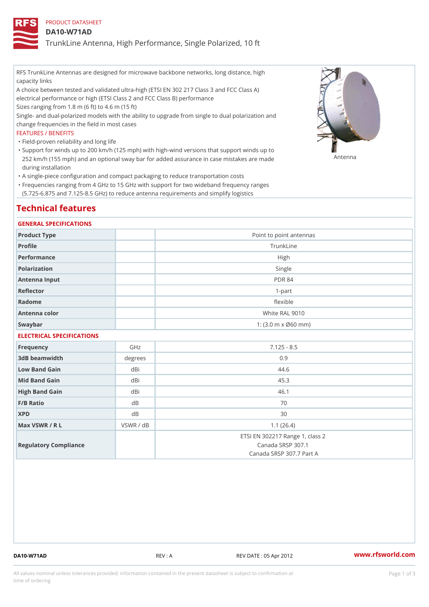### PRODUCT DATASHEET

### DA10-W71AD

TrunkLine Antenna, High Performance, Single Polarized, 10 ft

RFS TrunkLine Antennas are designed for microwave backbone networks, long distance, high capacity links

A choice between tested and validated ultra-high (ETSI EN 302 217 Class 3 and FCC Class A) electrical performance or high (ETSI Class 2 and FCC Class B) performance

Sizes ranging from 1.8 m (6 ft) to 4.6 m (15 ft)

Single- and dual-polarized models with the ability to upgrade from single to dual polarization and change frequencies in the field in most cases

### FEATURES / BENEFITS

"Field-proven reliability and long life

- Support for winds up to 200 km/h (125 mph) with high-wind versions that support winds up to " 252 km/h (155 mph) and an optional sway bar for added assurance in case m S # \$ R & B are made during installation
- "A single-piece configuration and compact packaging to reduce transportation costs
- Frequencies ranging from 4 GHz to 15 GHz with support for two wideband frequency ranges " (5.725-6.875 and 7.125-8.5 GHz) to reduce antenna requirements and simplify logistics

# Technical features

### GENERAL SPECIFICATIONS

| Product Type  | Point to point antennas                                 |
|---------------|---------------------------------------------------------|
| Profile       | TrunkLine                                               |
| Performance   | High                                                    |
| Polarization  | Single                                                  |
| Antenna Input | <b>PDR 84</b>                                           |
| Reflector     | $1-part$                                                |
| Radome        | flexible                                                |
| Antenna color | White RAL 9010                                          |
| Swaybar       | 1: $(3.0 \, \text{m} \times \emptyset 60 \, \text{mm})$ |

## ELECTRICAL SPECIFICATIONS

| Frequency             | GHz       | $7.125 - 8.5$                                                                    |
|-----------------------|-----------|----------------------------------------------------------------------------------|
| 3dB beamwidth         | degree    | 0.9                                                                              |
| Low Band Gain         | dBi       | 44.6                                                                             |
| Mid Band Gain         | dBi       | 45.3                                                                             |
| High Band Gain        | dBi       | 46.1                                                                             |
| $F/B$ Ratio           | d B       | 70                                                                               |
| <b>XPD</b>            | d B       | 30                                                                               |
| Max VSWR / R L        | VSWR / dB | 1.1(26.4)                                                                        |
| Regulatory Compliance |           | ETSI EN 302217 Range 1, class 2<br>Canada SRSP 307.1<br>Canada SRSP 307.7 Part A |

DA10-W71AD REV : A REV DATE : 05 Apr 2012 [www.](https://www.rfsworld.com)rfsworld.com

All values nominal unless tolerances provided; information contained in the present datasheet is subject to Pcapgeign mation time of ordering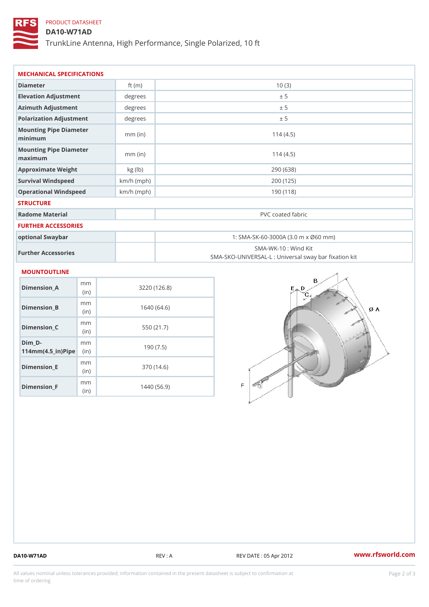## PRODUCT DATASHEET

## DA10-W71AD

TrunkLine Antenna, High Performance, Single Polarized, 10 ft

| MECHANICAL SPECIFICATIONS                                                   |              |                                                                          |  |  |
|-----------------------------------------------------------------------------|--------------|--------------------------------------------------------------------------|--|--|
| Diameter                                                                    | ft $(m)$     | 10(3)                                                                    |  |  |
| Elevation Adjustment                                                        | degrees      | ± 5                                                                      |  |  |
| Azimuth Adjustment                                                          | degrees      | ± 5                                                                      |  |  |
| Polarization Adjustment                                                     | degrees      | ± 5                                                                      |  |  |
| Mounting Pipe Diameter<br>minimum                                           | $mm$ (in)    | 114(4.5)                                                                 |  |  |
| Mounting Pipe Diameter<br>maximum                                           | $mm$ (in)    | 114(4.5)                                                                 |  |  |
| Approximate Weight                                                          | kg (lb)      | 290 (638)                                                                |  |  |
| Survival Windspeed                                                          | $km/h$ (mph) | 200 (125)                                                                |  |  |
| Operational Windspeed                                                       | $km/h$ (mph) | 190 (118)                                                                |  |  |
| <b>STRUCTURE</b>                                                            |              |                                                                          |  |  |
| Radome Material                                                             |              | PVC coated fabric                                                        |  |  |
| FURTHER ACCESSORIES                                                         |              |                                                                          |  |  |
| optional Swaybar                                                            |              | 1: SMA-SK-60-3000A (3.0 m x Ø60 mm)                                      |  |  |
| Further Accessories                                                         |              | SMA-WK-10: Wind Kit<br>SMA-SKO-UNIVERSAL-L : Universal sway bar fixation |  |  |
| <b>MOUNTOUTLINE</b>                                                         |              |                                                                          |  |  |
| m m<br>Dimension_A<br>(in)                                                  |              | 3220(126.8)                                                              |  |  |
| m m<br>$Dimension_B$<br>(in)                                                |              | 1640(64.6)                                                               |  |  |
| m m<br>Dimension_C<br>(in)                                                  |              | 550 (21.7)                                                               |  |  |
| $Dim_D -$<br>m m<br>$114$ m m (4.5 _ ir ) $\sqrt{$ im $\cdot$ $\Rightarrow$ |              | 190(7.5)                                                                 |  |  |
| m m<br><b>Brand Controller</b>                                              |              | 0.701410                                                                 |  |  |

Dimension\_E

Dimension\_F

(in)

m<sub>m</sub> (in)

370 (14.6)

1440 (56.9)

DA10-W71AD REV : A REV DATE : 05 Apr 2012 [www.](https://www.rfsworld.com)rfsworld.com